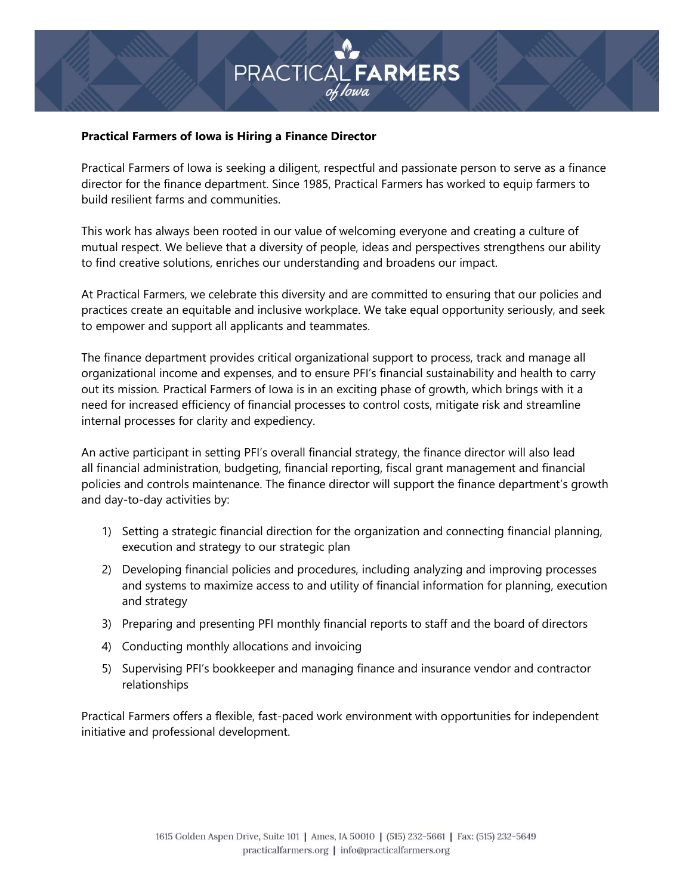# PRACTICAL **FARMERS**

### **Practical Farmers of Iowa is Hiring a Finance Director**

Practical Farmers of Iowa is seeking a diligent, respectful and passionate person to serve as a finance director for the finance department. Since 1985, Practical Farmers has worked to equip farmers to build resilient farms and communities.

This work has always been rooted in our value of welcoming everyone and creating a culture of mutual respect. We believe that a diversity of people, ideas and perspectives strengthens our ability to find creative solutions, enriches our understanding and broadens our impact.

At Practical Farmers, we celebrate this diversity and are committed to ensuring that our policies and practices create an equitable and inclusive workplace. We take equal opportunity seriously, and seek to empower and support all applicants and teammates.

The finance department provides critical organizational support to process, track and manage all organizational income and expenses, and to ensure PFI's financial sustainability and health to carry out its mission*.* Practical Farmers of Iowa is in an exciting phase of growth, which brings with it a need for increased efficiency of financial processes to control costs, mitigate risk and streamline internal processes for clarity and expediency.

An active participant in setting PFI's overall financial strategy, the finance director will also lead all financial administration, budgeting, financial reporting, fiscal grant management and financial policies and controls maintenance. The finance director will support the finance department's growth and day-to-day activities by:

- 1) Setting a strategic financial direction for the organization and connecting financial planning, execution and strategy to our strategic plan
- 2) Developing financial policies and procedures, including analyzing and improving processes and systems to maximize access to and utility of financial information for planning, execution and strategy
- 3) Preparing and presenting PFI monthly financial reports to staff and the board of directors
- 4) Conducting monthly allocations and invoicing
- 5) Supervising PFI's bookkeeper and managing finance and insurance vendor and contractor relationships

Practical Farmers offers a flexible, fast-paced work environment with opportunities for independent initiative and professional development.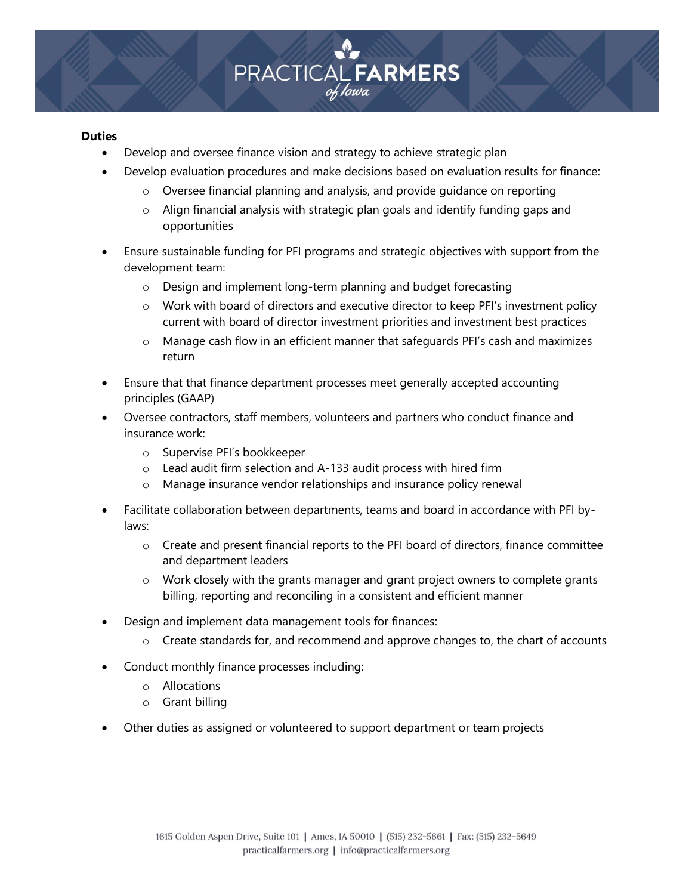

### **Duties**

- Develop and oversee finance vision and strategy to achieve strategic plan
- Develop evaluation procedures and make decisions based on evaluation results for finance:
	- o Oversee financial planning and analysis, and provide guidance on reporting
	- o Align financial analysis with strategic plan goals and identify funding gaps and opportunities
- Ensure sustainable funding for PFI programs and strategic objectives with support from the development team:
	- o Design and implement long-term planning and budget forecasting
	- o Work with board of directors and executive director to keep PFI's investment policy current with board of director investment priorities and investment best practices
	- o Manage cash flow in an efficient manner that safeguards PFI's cash and maximizes return
- Ensure that that finance department processes meet generally accepted accounting principles (GAAP)
- Oversee contractors, staff members, volunteers and partners who conduct finance and insurance work:
	- o Supervise PFI's bookkeeper
	- $\circ$  Lead audit firm selection and A-133 audit process with hired firm
	- o Manage insurance vendor relationships and insurance policy renewal
- Facilitate collaboration between departments, teams and board in accordance with PFI bylaws:
	- o Create and present financial reports to the PFI board of directors, finance committee and department leaders
	- o Work closely with the grants manager and grant project owners to complete grants billing, reporting and reconciling in a consistent and efficient manner
- Design and implement data management tools for finances:
	- $\circ$  Create standards for, and recommend and approve changes to, the chart of accounts
- Conduct monthly finance processes including:
	- o Allocations
	- o Grant billing
- Other duties as assigned or volunteered to support department or team projects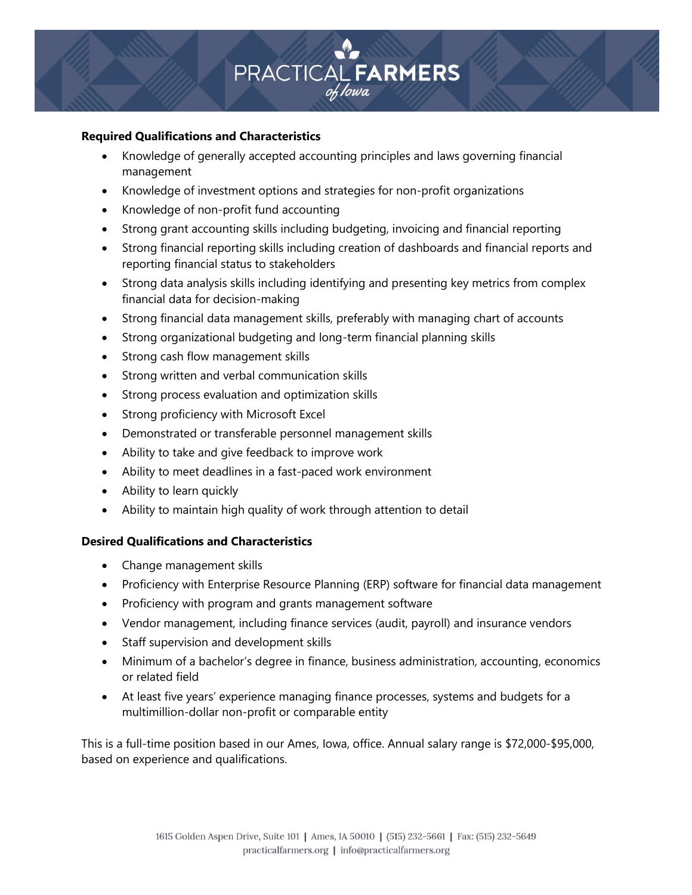

## **Required Qualifications and Characteristics**

- Knowledge of generally accepted accounting principles and laws governing financial management
- Knowledge of investment options and strategies for non-profit organizations
- Knowledge of non-profit fund accounting
- Strong grant accounting skills including budgeting, invoicing and financial reporting
- Strong financial reporting skills including creation of dashboards and financial reports and reporting financial status to stakeholders
- Strong data analysis skills including identifying and presenting key metrics from complex financial data for decision-making
- Strong financial data management skills, preferably with managing chart of accounts
- Strong organizational budgeting and long-term financial planning skills
- Strong cash flow management skills
- Strong written and verbal communication skills
- Strong process evaluation and optimization skills
- Strong proficiency with Microsoft Excel
- Demonstrated or transferable personnel management skills
- Ability to take and give feedback to improve work
- Ability to meet deadlines in a fast-paced work environment
- Ability to learn quickly
- Ability to maintain high quality of work through attention to detail

# **Desired Qualifications and Characteristics**

- Change management skills
- Proficiency with Enterprise Resource Planning (ERP) software for financial data management
- Proficiency with program and grants management software
- Vendor management, including finance services (audit, payroll) and insurance vendors
- Staff supervision and development skills
- Minimum of a bachelor's degree in finance, business administration, accounting, economics or related field
- At least five years' experience managing finance processes, systems and budgets for a multimillion-dollar non-profit or comparable entity

This is a full-time position based in our Ames, Iowa, office. Annual salary range is \$72,000-\$95,000, based on experience and qualifications.